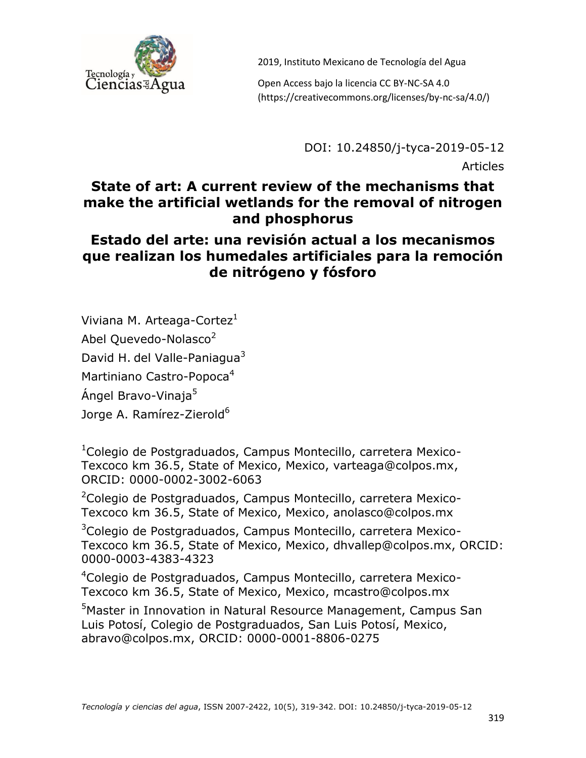

Open Access bajo la licencia CC BY-NC-SA 4.0 (https://creativecommons.org/licenses/by-nc-sa/4.0/)

DOI: 10.24850/j-tyca-2019-05-12

Articles

# **State of art: A current review of the mechanisms that make the artificial wetlands for the removal of nitrogen and phosphorus**

## **Estado del arte: una revisión actual a los mecanismos que realizan los humedales artificiales para la remoción de nitrógeno y fósforo**

Viviana M. Arteaga-Cortez<sup>1</sup>

Abel Quevedo-Nolasco<sup>2</sup>

David H. del Valle-Paniagua<sup>3</sup>

Martiniano Castro-Popoca<sup>4</sup>

Ángel Bravo-Vinaja<sup>5</sup>

Jorge A. Ramírez-Zierold<sup>6</sup>

<sup>1</sup>Colegio de Postgraduados, Campus Montecillo, carretera Mexico-Texcoco km 36.5, State of Mexico, Mexico, varteaga@colpos.mx, ORCID: 0000-0002-3002-6063

<sup>2</sup>Colegio de Postgraduados, Campus Montecillo, carretera Mexico-Texcoco km 36.5, State of Mexico, Mexico, anolasco@colpos.mx

<sup>3</sup>Colegio de Postgraduados, Campus Montecillo, carretera Mexico-Texcoco km 36.5, State of Mexico, Mexico, dhvallep@colpos.mx, ORCID: 0000-0003-4383-4323

<sup>4</sup>Colegio de Postgraduados, Campus Montecillo, carretera Mexico-Texcoco km 36.5, State of Mexico, Mexico, mcastro@colpos.mx

<sup>5</sup>Master in Innovation in Natural Resource Management, Campus San Luis Potosí, Colegio de Postgraduados, San Luis Potosí, Mexico, abravo@colpos.mx, ORCID: 0000-0001-8806-0275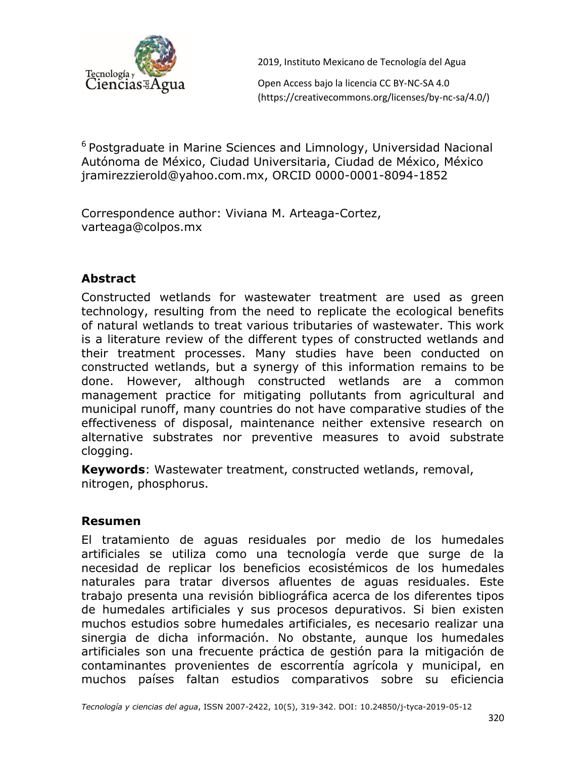

Open Access bajo la licencia CC BY-NC-SA 4.0 (https://creativecommons.org/licenses/by-nc-sa/4.0/)

<sup>6</sup> Postgraduate in Marine Sciences and Limnology, Universidad Nacional Autónoma de México, Ciudad Universitaria, Ciudad de México, México jramirezzierold@yahoo.com.mx, ORCID 0000-0001-8094-1852

Correspondence author: Viviana M. Arteaga-Cortez, varteaga@colpos.mx

#### **Abstract**

Constructed wetlands for wastewater treatment are used as green technology, resulting from the need to replicate the ecological benefits of natural wetlands to treat various tributaries of wastewater. This work is a literature review of the different types of constructed wetlands and their treatment processes. Many studies have been conducted on constructed wetlands, but a synergy of this information remains to be done. However, although constructed wetlands are a common management practice for mitigating pollutants from agricultural and municipal runoff, many countries do not have comparative studies of the effectiveness of disposal, maintenance neither extensive research on alternative substrates nor preventive measures to avoid substrate clogging.

**Keywords**: Wastewater treatment, constructed wetlands, removal, nitrogen, phosphorus.

#### **Resumen**

El tratamiento de aguas residuales por medio de los humedales artificiales se utiliza como una tecnología verde que surge de la necesidad de replicar los beneficios ecosistémicos de los humedales naturales para tratar diversos afluentes de aguas residuales. Este trabajo presenta una revisión bibliográfica acerca de los diferentes tipos de humedales artificiales y sus procesos depurativos. Si bien existen muchos estudios sobre humedales artificiales, es necesario realizar una sinergia de dicha información. No obstante, aunque los humedales artificiales son una frecuente práctica de gestión para la mitigación de contaminantes provenientes de escorrentía agrícola y municipal, en muchos países faltan estudios comparativos sobre su eficiencia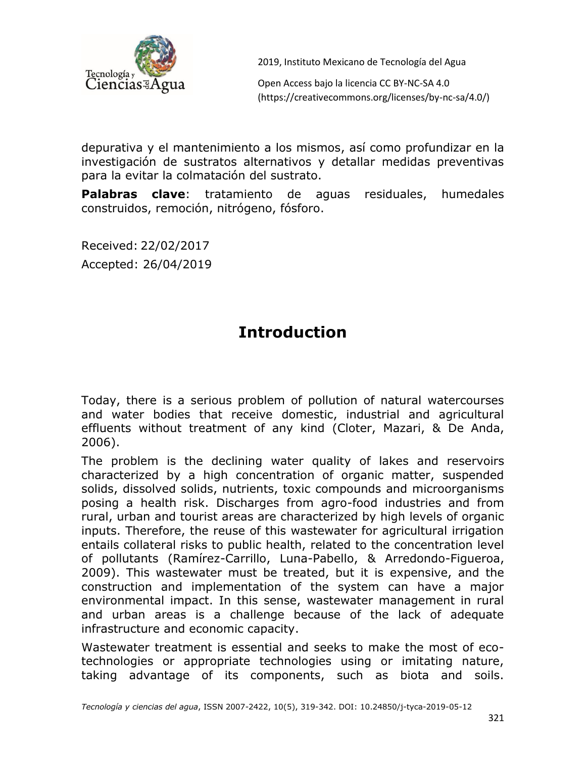

Open Access bajo la licencia CC BY-NC-SA 4.0 (https://creativecommons.org/licenses/by-nc-sa/4.0/)

depurativa y el mantenimiento a los mismos, así como profundizar en la investigación de sustratos alternativos y detallar medidas preventivas para la evitar la colmatación del sustrato.

**Palabras clave**: tratamiento de aguas residuales, humedales construidos, remoción, nitrógeno, fósforo.

Received: 22/02/2017 Accepted: 26/04/2019

# **Introduction**

Today, there is a serious problem of pollution of natural watercourses and water bodies that receive domestic, industrial and agricultural effluents without treatment of any kind (Cloter, Mazari, & De Anda, 2006).

The problem is the declining water quality of lakes and reservoirs characterized by a high concentration of organic matter, suspended solids, dissolved solids, nutrients, toxic compounds and microorganisms posing a health risk. Discharges from agro-food industries and from rural, urban and tourist areas are characterized by high levels of organic inputs. Therefore, the reuse of this wastewater for agricultural irrigation entails collateral risks to public health, related to the concentration level of pollutants (Ramírez-Carrillo, Luna-Pabello, & Arredondo-Figueroa, 2009). This wastewater must be treated, but it is expensive, and the construction and implementation of the system can have a major environmental impact. In this sense, wastewater management in rural and urban areas is a challenge because of the lack of adequate infrastructure and economic capacity.

Wastewater treatment is essential and seeks to make the most of ecotechnologies or appropriate technologies using or imitating nature, taking advantage of its components, such as biota and soils.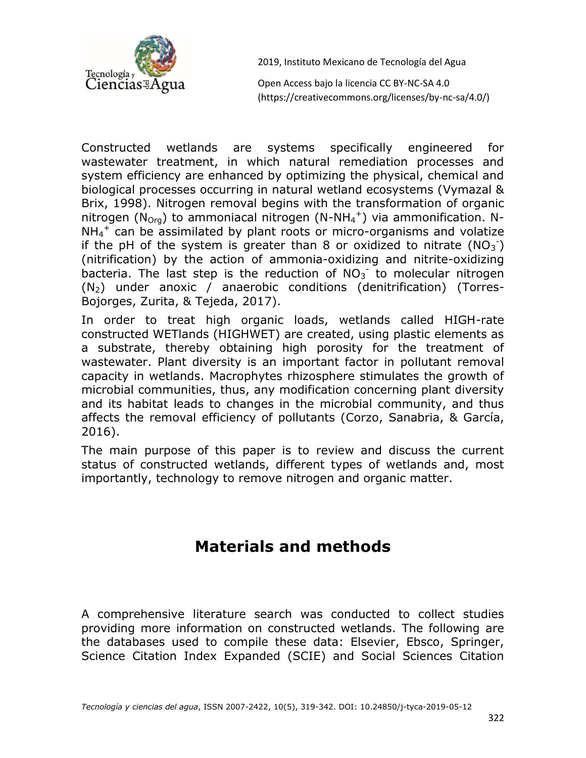

Open Access bajo la licencia CC BY-NC-SA 4.0 (https://creativecommons.org/licenses/by-nc-sa/4.0/)

Constructed wetlands are systems specifically engineered for wastewater treatment, in which natural remediation processes and system efficiency are enhanced by optimizing the physical, chemical and biological processes occurring in natural wetland ecosystems (Vymazal & Brix, 1998). Nitrogen removal begins with the transformation of organic nitrogen ( $N_{Org}$ ) to ammoniacal nitrogen (N-NH<sub>4</sub><sup>+</sup>) via ammonification. N- $NH_4^+$  can be assimilated by plant roots or micro-organisms and volatize if the pH of the system is greater than 8 or oxidized to nitrate ( $NO<sub>3</sub>$ ) (nitrification) by the action of ammonia-oxidizing and nitrite-oxidizing bacteria. The last step is the reduction of  $NO<sub>3</sub>$  to molecular nitrogen (N2) under anoxic / anaerobic conditions (denitrification) (Torres-Bojorges, Zurita, & Tejeda, 2017).

In order to treat high organic loads, wetlands called HIGH-rate constructed WETlands (HIGHWET) are created, using plastic elements as a substrate, thereby obtaining high porosity for the treatment of wastewater. Plant diversity is an important factor in pollutant removal capacity in wetlands. Macrophytes rhizosphere stimulates the growth of microbial communities, thus, any modification concerning plant diversity and its habitat leads to changes in the microbial community, and thus affects the removal efficiency of pollutants (Corzo, Sanabria, & García, 2016).

The main purpose of this paper is to review and discuss the current status of constructed wetlands, different types of wetlands and, most importantly, technology to remove nitrogen and organic matter.

# **Materials and methods**

A comprehensive literature search was conducted to collect studies providing more information on constructed wetlands. The following are the databases used to compile these data: Elsevier, Ebsco, Springer, Science Citation Index Expanded (SCIE) and Social Sciences Citation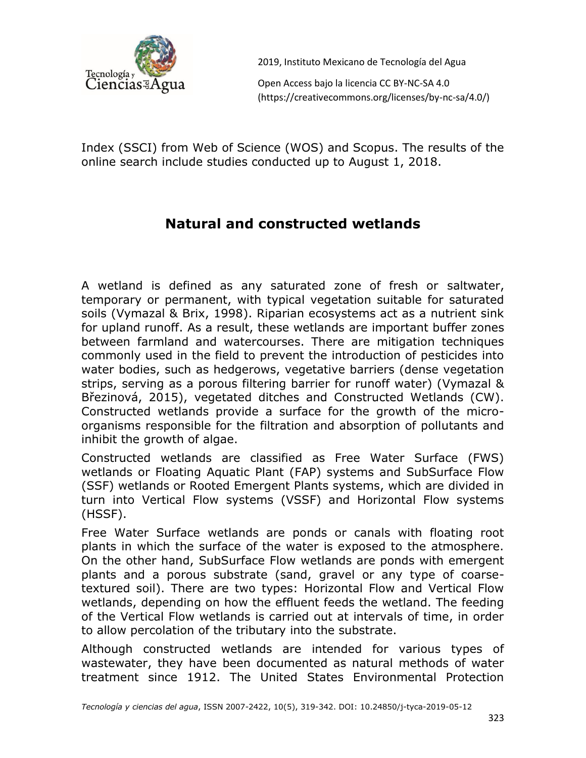

Open Access bajo la licencia CC BY-NC-SA 4.0 (https://creativecommons.org/licenses/by-nc-sa/4.0/)

Index (SSCI) from Web of Science (WOS) and Scopus. The results of the online search include studies conducted up to August 1, 2018.

# **Natural and constructed wetlands**

A wetland is defined as any saturated zone of fresh or saltwater, temporary or permanent, with typical vegetation suitable for saturated soils (Vymazal & Brix, 1998). Riparian ecosystems act as a nutrient sink for upland runoff. As a result, these wetlands are important buffer zones between farmland and watercourses. There are mitigation techniques commonly used in the field to prevent the introduction of pesticides into water bodies, such as hedgerows, vegetative barriers (dense vegetation strips, serving as a porous filtering barrier for runoff water) (Vymazal & Březinová, 2015), vegetated ditches and Constructed Wetlands (CW). Constructed wetlands provide a surface for the growth of the microorganisms responsible for the filtration and absorption of pollutants and inhibit the growth of algae.

Constructed wetlands are classified as Free Water Surface (FWS) wetlands or Floating Aquatic Plant (FAP) systems and SubSurface Flow (SSF) wetlands or Rooted Emergent Plants systems, which are divided in turn into Vertical Flow systems (VSSF) and Horizontal Flow systems (HSSF).

Free Water Surface wetlands are ponds or canals with floating root plants in which the surface of the water is exposed to the atmosphere. On the other hand, SubSurface Flow wetlands are ponds with emergent plants and a porous substrate (sand, gravel or any type of coarsetextured soil). There are two types: Horizontal Flow and Vertical Flow wetlands, depending on how the effluent feeds the wetland. The feeding of the Vertical Flow wetlands is carried out at intervals of time, in order to allow percolation of the tributary into the substrate.

Although constructed wetlands are intended for various types of wastewater, they have been documented as natural methods of water treatment since 1912. The United States Environmental Protection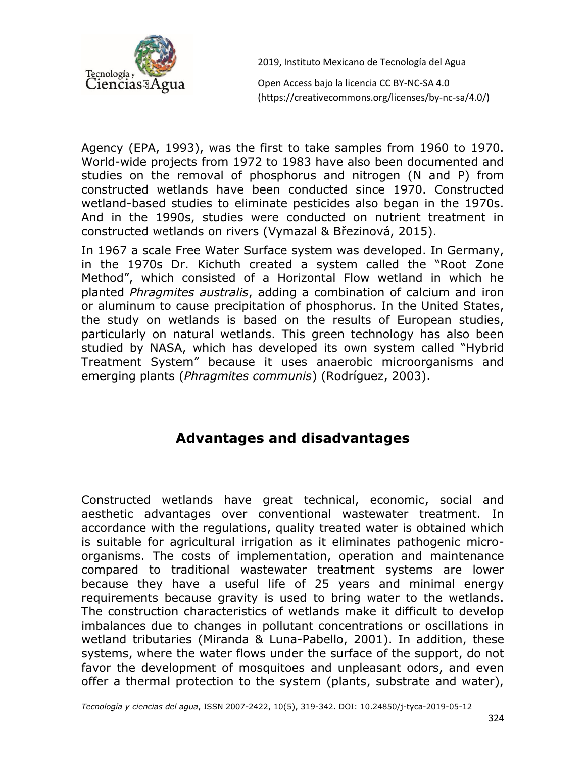

Open Access bajo la licencia CC BY-NC-SA 4.0 (https://creativecommons.org/licenses/by-nc-sa/4.0/)

Agency (EPA, 1993), was the first to take samples from 1960 to 1970. World-wide projects from 1972 to 1983 have also been documented and studies on the removal of phosphorus and nitrogen (N and P) from constructed wetlands have been conducted since 1970. Constructed wetland-based studies to eliminate pesticides also began in the 1970s. And in the 1990s, studies were conducted on nutrient treatment in constructed wetlands on rivers (Vymazal & Březinová, 2015).

In 1967 a scale Free Water Surface system was developed. In Germany, in the 1970s Dr. Kichuth created a system called the "Root Zone Method", which consisted of a Horizontal Flow wetland in which he planted *Phragmites australis*, adding a combination of calcium and iron or aluminum to cause precipitation of phosphorus. In the United States, the study on wetlands is based on the results of European studies, particularly on natural wetlands. This green technology has also been studied by NASA, which has developed its own system called "Hybrid Treatment System" because it uses anaerobic microorganisms and emerging plants (*Phragmites communis*) (Rodríguez, 2003).

## **Advantages and disadvantages**

Constructed wetlands have great technical, economic, social and aesthetic advantages over conventional wastewater treatment. In accordance with the regulations, quality treated water is obtained which is suitable for agricultural irrigation as it eliminates pathogenic microorganisms. The costs of implementation, operation and maintenance compared to traditional wastewater treatment systems are lower because they have a useful life of 25 years and minimal energy requirements because gravity is used to bring water to the wetlands. The construction characteristics of wetlands make it difficult to develop imbalances due to changes in pollutant concentrations or oscillations in wetland tributaries (Miranda & Luna-Pabello, 2001). In addition, these systems, where the water flows under the surface of the support, do not favor the development of mosquitoes and unpleasant odors, and even offer a thermal protection to the system (plants, substrate and water),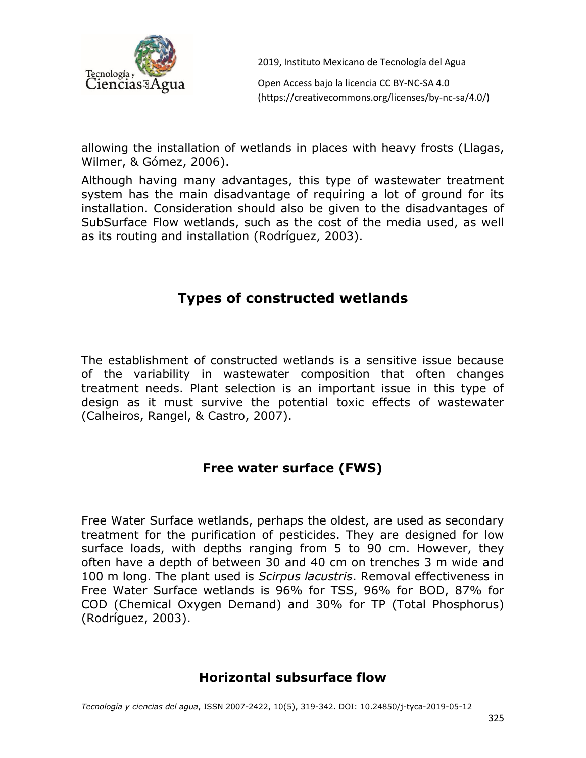

Open Access bajo la licencia CC BY-NC-SA 4.0 (https://creativecommons.org/licenses/by-nc-sa/4.0/)

allowing the installation of wetlands in places with heavy frosts (Llagas, Wilmer, & Gómez, 2006).

Although having many advantages, this type of wastewater treatment system has the main disadvantage of requiring a lot of ground for its installation. Consideration should also be given to the disadvantages of SubSurface Flow wetlands, such as the cost of the media used, as well as its routing and installation (Rodríguez, 2003).

# **Types of constructed wetlands**

The establishment of constructed wetlands is a sensitive issue because of the variability in wastewater composition that often changes treatment needs. Plant selection is an important issue in this type of design as it must survive the potential toxic effects of wastewater (Calheiros, Rangel, & Castro, 2007).

### **Free water surface (FWS)**

Free Water Surface wetlands, perhaps the oldest, are used as secondary treatment for the purification of pesticides. They are designed for low surface loads, with depths ranging from 5 to 90 cm. However, they often have a depth of between 30 and 40 cm on trenches 3 m wide and 100 m long. The plant used is *Scirpus lacustris*. Removal effectiveness in Free Water Surface wetlands is 96% for TSS, 96% for BOD, 87% for COD (Chemical Oxygen Demand) and 30% for TP (Total Phosphorus) (Rodríguez, 2003).

#### **Horizontal subsurface flow**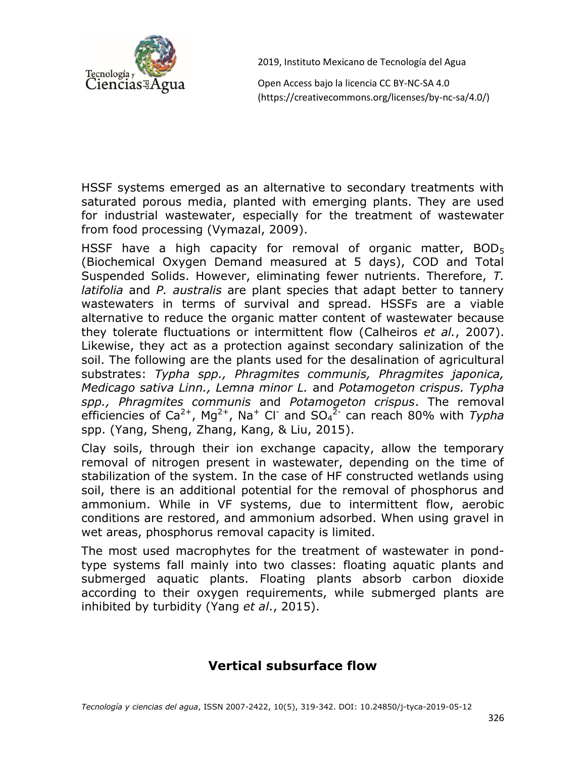

Open Access bajo la licencia CC BY-NC-SA 4.0 (https://creativecommons.org/licenses/by-nc-sa/4.0/)

HSSF systems emerged as an alternative to secondary treatments with saturated porous media, planted with emerging plants. They are used for industrial wastewater, especially for the treatment of wastewater from food processing (Vymazal, 2009).

HSSF have a high capacity for removal of organic matter,  $BOD<sub>5</sub>$ (Biochemical Oxygen Demand measured at 5 days), COD and Total Suspended Solids. However, eliminating fewer nutrients. Therefore, *T. latifolia* and *P. australis* are plant species that adapt better to tannery wastewaters in terms of survival and spread. HSSFs are a viable alternative to reduce the organic matter content of wastewater because they tolerate fluctuations or intermittent flow (Calheiros *et al.*, 2007). Likewise, they act as a protection against secondary salinization of the soil. The following are the plants used for the desalination of agricultural substrates: *Typha spp., Phragmites communis, Phragmites japonica, Medicago sativa Linn., Lemna minor L.* and *Potamogeton crispus. Typha spp., Phragmites communis* and *Potamogeton crispus*. The removal efficiencies of Ca<sup>2+</sup>, Mg<sup>2+</sup>, Na<sup>+</sup> Cl<sup>-</sup> and SO<sub>4</sub><sup>2-</sup> can reach 80% with *Typha* spp. (Yang, Sheng, Zhang, Kang, & Liu, 2015).

Clay soils, through their ion exchange capacity, allow the temporary removal of nitrogen present in wastewater, depending on the time of stabilization of the system. In the case of HF constructed wetlands using soil, there is an additional potential for the removal of phosphorus and ammonium. While in VF systems, due to intermittent flow, aerobic conditions are restored, and ammonium adsorbed. When using gravel in wet areas, phosphorus removal capacity is limited.

The most used macrophytes for the treatment of wastewater in pondtype systems fall mainly into two classes: floating aquatic plants and submerged aquatic plants. Floating plants absorb carbon dioxide according to their oxygen requirements, while submerged plants are inhibited by turbidity (Yang *et al*., 2015).

### **Vertical subsurface flow**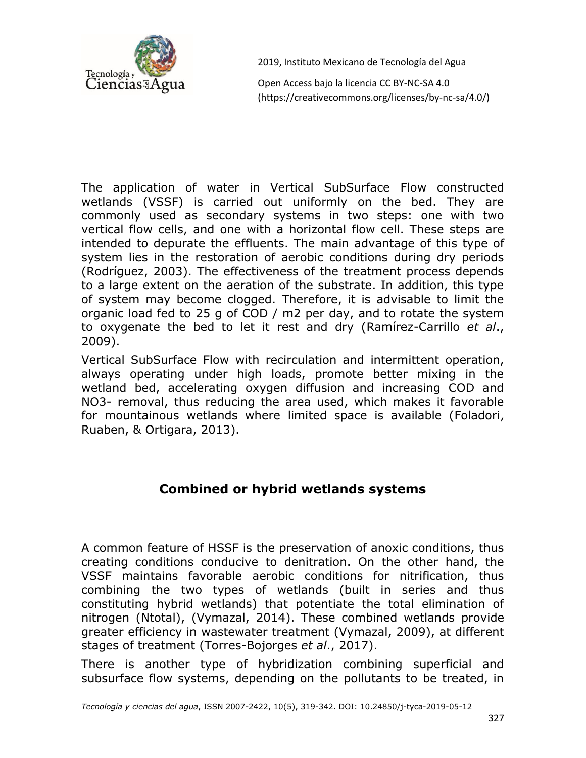

Open Access bajo la licencia CC BY-NC-SA 4.0 (https://creativecommons.org/licenses/by-nc-sa/4.0/)

The application of water in Vertical SubSurface Flow constructed wetlands (VSSF) is carried out uniformly on the bed. They are commonly used as secondary systems in two steps: one with two vertical flow cells, and one with a horizontal flow cell. These steps are intended to depurate the effluents. The main advantage of this type of system lies in the restoration of aerobic conditions during dry periods (Rodríguez, 2003). The effectiveness of the treatment process depends to a large extent on the aeration of the substrate. In addition, this type of system may become clogged. Therefore, it is advisable to limit the organic load fed to 25 g of COD / m2 per day, and to rotate the system to oxygenate the bed to let it rest and dry (Ramírez-Carrillo *et al*., 2009).

Vertical SubSurface Flow with recirculation and intermittent operation, always operating under high loads, promote better mixing in the wetland bed, accelerating oxygen diffusion and increasing COD and NO3- removal, thus reducing the area used, which makes it favorable for mountainous wetlands where limited space is available (Foladori, Ruaben, & Ortigara, 2013).

### **Combined or hybrid wetlands systems**

A common feature of HSSF is the preservation of anoxic conditions, thus creating conditions conducive to denitration. On the other hand, the VSSF maintains favorable aerobic conditions for nitrification, thus combining the two types of wetlands (built in series and thus constituting hybrid wetlands) that potentiate the total elimination of nitrogen (Ntotal), (Vymazal, 2014). These combined wetlands provide greater efficiency in wastewater treatment (Vymazal, 2009), at different stages of treatment (Torres-Bojorges *et al*., 2017).

There is another type of hybridization combining superficial and subsurface flow systems, depending on the pollutants to be treated, in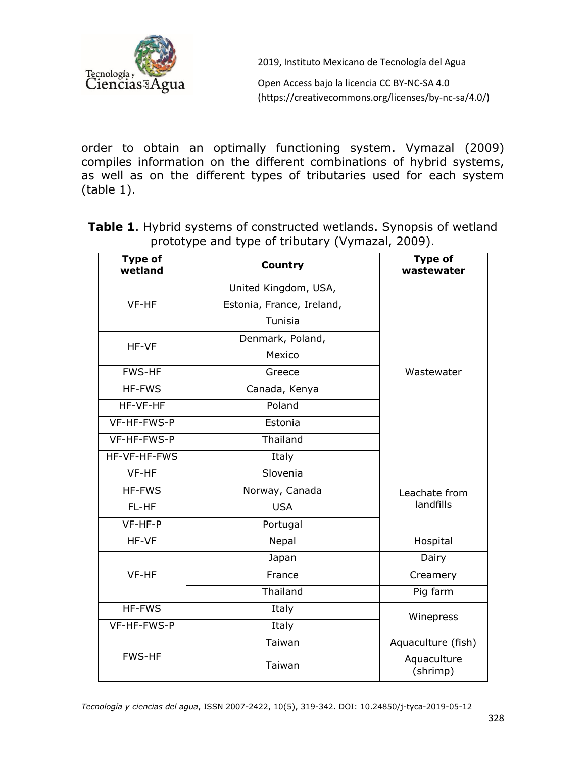

Open Access bajo la licencia CC BY-NC-SA 4.0 (https://creativecommons.org/licenses/by-nc-sa/4.0/)

order to obtain an optimally functioning system. Vymazal (2009) compiles information on the different combinations of hybrid systems, as well as on the different types of tributaries used for each system (table 1).

**Table 1**. Hybrid systems of constructed wetlands. Synopsis of wetland prototype and type of tributary (Vymazal, 2009).

| <b>Type of</b><br>wetland | <b>Country</b>                    | <b>Type of</b><br>wastewater |  |  |
|---------------------------|-----------------------------------|------------------------------|--|--|
|                           | United Kingdom, USA,              |                              |  |  |
| VF-HF                     | Estonia, France, Ireland,         |                              |  |  |
|                           | Tunisia                           |                              |  |  |
| HF-VF                     | Denmark, Poland,                  |                              |  |  |
|                           | Mexico                            |                              |  |  |
| <b>FWS-HF</b>             | Greece                            | Wastewater                   |  |  |
| <b>HF-FWS</b>             | Canada, Kenya                     |                              |  |  |
| HF-VF-HF                  | Poland                            |                              |  |  |
| VF-HF-FWS-P               | Estonia                           |                              |  |  |
| VF-HF-FWS-P               | Thailand                          |                              |  |  |
| HF-VF-HF-FWS              | Italy                             |                              |  |  |
| VF-HF                     | Slovenia                          |                              |  |  |
| HF-FWS                    | Norway, Canada                    | Leachate from                |  |  |
| FL-HF                     | <b>USA</b>                        | landfills                    |  |  |
| VF-HF-P                   | Portugal                          |                              |  |  |
| HF-VF                     | Nepal                             | Hospital                     |  |  |
| VF-HF                     | Japan                             | Dairy                        |  |  |
|                           | France                            | Creamery                     |  |  |
|                           | Thailand                          | Pig farm                     |  |  |
| HF-FWS                    | Italy                             | Winepress                    |  |  |
| VF-HF-FWS-P               | Italy                             |                              |  |  |
|                           | Taiwan                            | Aquaculture (fish)           |  |  |
| <b>FWS-HF</b>             | Aquaculture<br>Taiwan<br>(shrimp) |                              |  |  |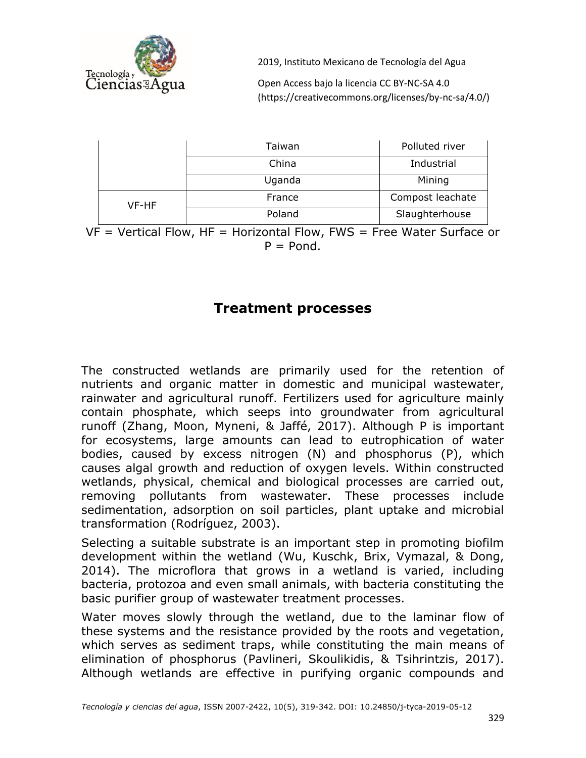

Open Access bajo la licencia CC BY-NC-SA 4.0 (https://creativecommons.org/licenses/by-nc-sa/4.0/)

|       | Taiwan | Polluted river   |
|-------|--------|------------------|
|       | China  | Industrial       |
|       | Uganda | Mining           |
| VF-HF | France | Compost leachate |
|       | Poland | Slaughterhouse   |

 $VF = Vertical Flow$ ,  $HF = Horizontal Flow$ ,  $FWS = Free Water Surface$  $P =$  Pond.

### **Treatment processes**

The constructed wetlands are primarily used for the retention of nutrients and organic matter in domestic and municipal wastewater, rainwater and agricultural runoff. Fertilizers used for agriculture mainly contain phosphate, which seeps into groundwater from agricultural runoff (Zhang, Moon, Myneni, & Jaffé, 2017). Although P is important for ecosystems, large amounts can lead to eutrophication of water bodies, caused by excess nitrogen (N) and phosphorus (P), which causes algal growth and reduction of oxygen levels. Within constructed wetlands, physical, chemical and biological processes are carried out, removing pollutants from wastewater. These processes include sedimentation, adsorption on soil particles, plant uptake and microbial transformation (Rodríguez, 2003).

Selecting a suitable substrate is an important step in promoting biofilm development within the wetland (Wu, Kuschk, Brix, Vymazal, & Dong, 2014). The microflora that grows in a wetland is varied, including bacteria, protozoa and even small animals, with bacteria constituting the basic purifier group of wastewater treatment processes.

Water moves slowly through the wetland, due to the laminar flow of these systems and the resistance provided by the roots and vegetation, which serves as sediment traps, while constituting the main means of elimination of phosphorus (Pavlineri, Skoulikidis, & Tsihrintzis, 2017). Although wetlands are effective in purifying organic compounds and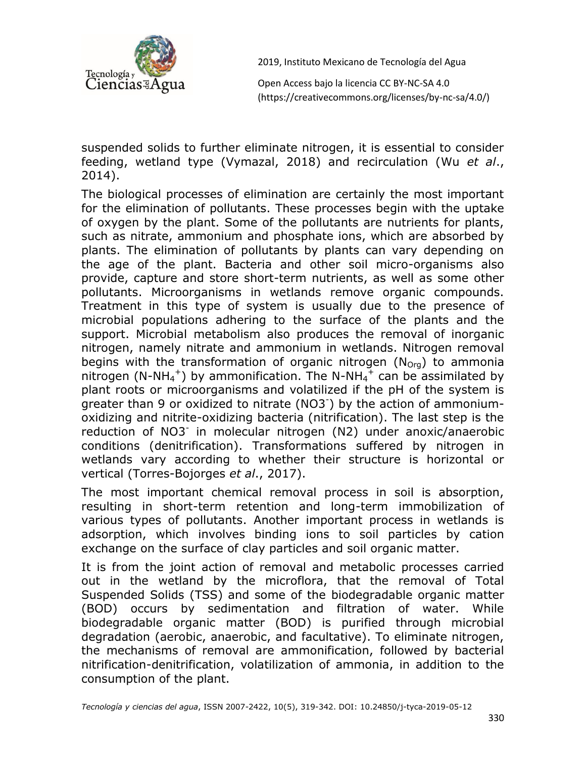

Open Access bajo la licencia CC BY-NC-SA 4.0 (https://creativecommons.org/licenses/by-nc-sa/4.0/)

suspended solids to further eliminate nitrogen, it is essential to consider feeding, wetland type (Vymazal, 2018) and recirculation (Wu *et al*., 2014).

The biological processes of elimination are certainly the most important for the elimination of pollutants. These processes begin with the uptake of oxygen by the plant. Some of the pollutants are nutrients for plants, such as nitrate, ammonium and phosphate ions, which are absorbed by plants. The elimination of pollutants by plants can vary depending on the age of the plant. Bacteria and other soil micro-organisms also provide, capture and store short-term nutrients, as well as some other pollutants. Microorganisms in wetlands remove organic compounds. Treatment in this type of system is usually due to the presence of microbial populations adhering to the surface of the plants and the support. Microbial metabolism also produces the removal of inorganic nitrogen, namely nitrate and ammonium in wetlands. Nitrogen removal begins with the transformation of organic nitrogen  $(N<sub>Ora</sub>)$  to ammonia nitrogen (N-NH<sub>4</sub><sup>+</sup>) by ammonification. The N-NH<sub>4</sub><sup>+</sup> can be assimilated by plant roots or microorganisms and volatilized if the pH of the system is greater than 9 or oxidized to nitrate (NO3- ) by the action of ammoniumoxidizing and nitrite-oxidizing bacteria (nitrification). The last step is the reduction of NO3 in molecular nitrogen (N2) under anoxic/anaerobic conditions (denitrification). Transformations suffered by nitrogen in wetlands vary according to whether their structure is horizontal or vertical (Torres-Bojorges *et al*., 2017).

The most important chemical removal process in soil is absorption, resulting in short-term retention and long-term immobilization of various types of pollutants. Another important process in wetlands is adsorption, which involves binding ions to soil particles by cation exchange on the surface of clay particles and soil organic matter.

It is from the joint action of removal and metabolic processes carried out in the wetland by the microflora, that the removal of Total Suspended Solids (TSS) and some of the biodegradable organic matter (BOD) occurs by sedimentation and filtration of water. While biodegradable organic matter (BOD) is purified through microbial degradation (aerobic, anaerobic, and facultative). To eliminate nitrogen, the mechanisms of removal are ammonification, followed by bacterial nitrification-denitrification, volatilization of ammonia, in addition to the consumption of the plant.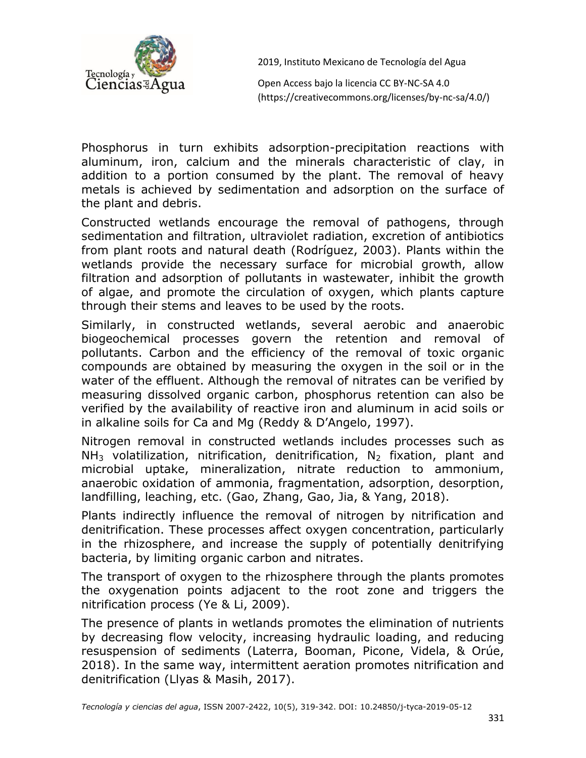

Open Access bajo la licencia CC BY-NC-SA 4.0 (https://creativecommons.org/licenses/by-nc-sa/4.0/)

Phosphorus in turn exhibits adsorption-precipitation reactions with aluminum, iron, calcium and the minerals characteristic of clay, in addition to a portion consumed by the plant. The removal of heavy metals is achieved by sedimentation and adsorption on the surface of the plant and debris.

Constructed wetlands encourage the removal of pathogens, through sedimentation and filtration, ultraviolet radiation, excretion of antibiotics from plant roots and natural death (Rodríguez, 2003). Plants within the wetlands provide the necessary surface for microbial growth, allow filtration and adsorption of pollutants in wastewater, inhibit the growth of algae, and promote the circulation of oxygen, which plants capture through their stems and leaves to be used by the roots.

Similarly, in constructed wetlands, several aerobic and anaerobic biogeochemical processes govern the retention and removal of pollutants. Carbon and the efficiency of the removal of toxic organic compounds are obtained by measuring the oxygen in the soil or in the water of the effluent. Although the removal of nitrates can be verified by measuring dissolved organic carbon, phosphorus retention can also be verified by the availability of reactive iron and aluminum in acid soils or in alkaline soils for Ca and Mg (Reddy & D'Angelo, 1997).

Nitrogen removal in constructed wetlands includes processes such as  $NH<sub>3</sub>$  volatilization, nitrification, denitrification,  $N<sub>2</sub>$  fixation, plant and microbial uptake, mineralization, nitrate reduction to ammonium, anaerobic oxidation of ammonia, fragmentation, adsorption, desorption, landfilling, leaching, etc. (Gao, Zhang, Gao, Jia, & Yang, 2018).

Plants indirectly influence the removal of nitrogen by nitrification and denitrification. These processes affect oxygen concentration, particularly in the rhizosphere, and increase the supply of potentially denitrifying bacteria, by limiting organic carbon and nitrates.

The transport of oxygen to the rhizosphere through the plants promotes the oxygenation points adjacent to the root zone and triggers the nitrification process (Ye & Li, 2009).

The presence of plants in wetlands promotes the elimination of nutrients by decreasing flow velocity, increasing hydraulic loading, and reducing resuspension of sediments (Laterra, Booman, Picone, Videla, & Orúe, 2018). In the same way, intermittent aeration promotes nitrification and denitrification (Llyas & Masih, 2017).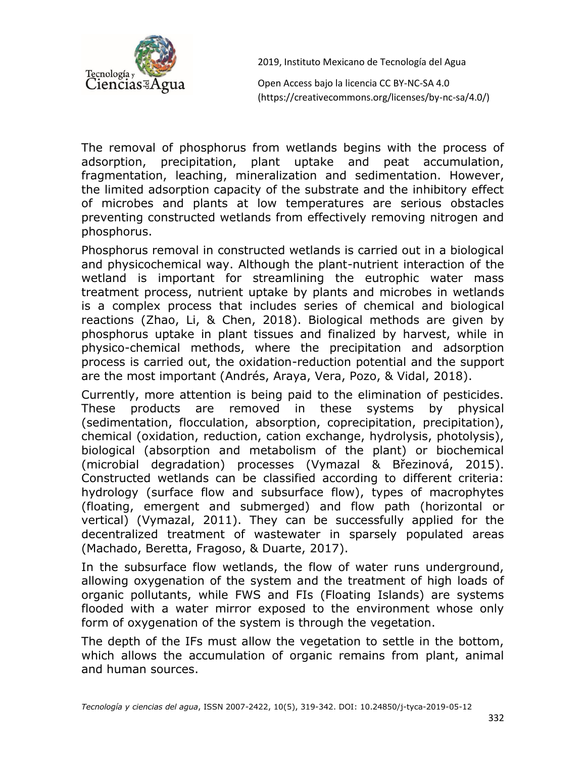

Open Access bajo la licencia CC BY-NC-SA 4.0 (https://creativecommons.org/licenses/by-nc-sa/4.0/)

The removal of phosphorus from wetlands begins with the process of adsorption, precipitation, plant uptake and peat accumulation, fragmentation, leaching, mineralization and sedimentation. However, the limited adsorption capacity of the substrate and the inhibitory effect of microbes and plants at low temperatures are serious obstacles preventing constructed wetlands from effectively removing nitrogen and phosphorus.

Phosphorus removal in constructed wetlands is carried out in a biological and physicochemical way. Although the plant-nutrient interaction of the wetland is important for streamlining the eutrophic water mass treatment process, nutrient uptake by plants and microbes in wetlands is a complex process that includes series of chemical and biological reactions (Zhao, Li, & Chen, 2018). Biological methods are given by phosphorus uptake in plant tissues and finalized by harvest, while in physico-chemical methods, where the precipitation and adsorption process is carried out, the oxidation-reduction potential and the support are the most important (Andrés, Araya, Vera, Pozo, & Vidal, 2018).

Currently, more attention is being paid to the elimination of pesticides. These products are removed in these systems by physical (sedimentation, flocculation, absorption, coprecipitation, precipitation), chemical (oxidation, reduction, cation exchange, hydrolysis, photolysis), biological (absorption and metabolism of the plant) or biochemical (microbial degradation) processes (Vymazal & Březinová, 2015). Constructed wetlands can be classified according to different criteria: hydrology (surface flow and subsurface flow), types of macrophytes (floating, emergent and submerged) and flow path (horizontal or vertical) (Vymazal, 2011). They can be successfully applied for the decentralized treatment of wastewater in sparsely populated areas (Machado, Beretta, Fragoso, & Duarte, 2017).

In the subsurface flow wetlands, the flow of water runs underground, allowing oxygenation of the system and the treatment of high loads of organic pollutants, while FWS and FIs (Floating Islands) are systems flooded with a water mirror exposed to the environment whose only form of oxygenation of the system is through the vegetation.

The depth of the IFs must allow the vegetation to settle in the bottom, which allows the accumulation of organic remains from plant, animal and human sources.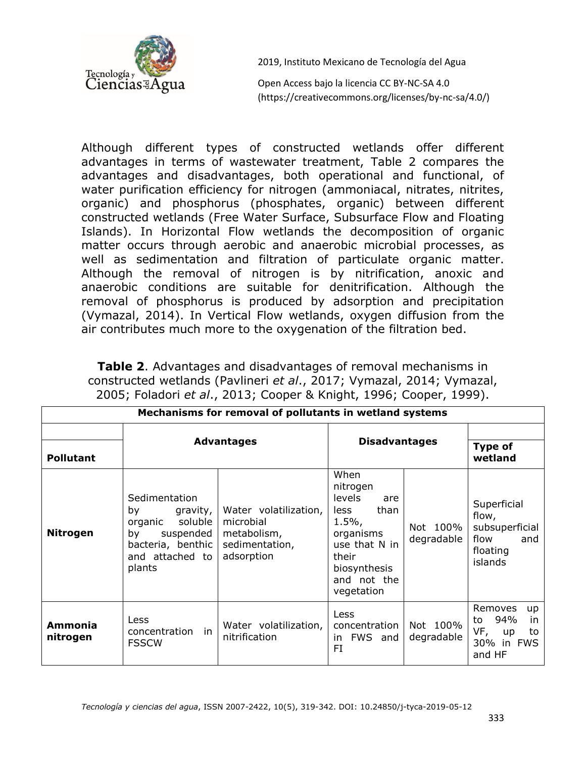

Open Access bajo la licencia CC BY-NC-SA 4.0 (https://creativecommons.org/licenses/by-nc-sa/4.0/)

Although different types of constructed wetlands offer different advantages in terms of wastewater treatment, Table 2 compares the advantages and disadvantages, both operational and functional, of water purification efficiency for nitrogen (ammoniacal, nitrates, nitrites, organic) and phosphorus (phosphates, organic) between different constructed wetlands (Free Water Surface, Subsurface Flow and Floating Islands). In Horizontal Flow wetlands the decomposition of organic matter occurs through aerobic and anaerobic microbial processes, as well as sedimentation and filtration of particulate organic matter. Although the removal of nitrogen is by nitrification, anoxic and anaerobic conditions are suitable for denitrification. Although the removal of phosphorus is produced by adsorption and precipitation (Vymazal, 2014). In Vertical Flow wetlands, oxygen diffusion from the air contributes much more to the oxygenation of the filtration bed.

**Table 2**. Advantages and disadvantages of removal mechanisms in constructed wetlands (Pavlineri *et al*., 2017; Vymazal, 2014; Vymazal, 2005; Foladori *et al*., 2013; Cooper & Knight, 1996; Cooper, 1999).

| Mechanisms for removal of pollutants in wetland systems |                                                                                                                            |                                                                                   |                                                                                                                                                  |                        |                                                                              |  |
|---------------------------------------------------------|----------------------------------------------------------------------------------------------------------------------------|-----------------------------------------------------------------------------------|--------------------------------------------------------------------------------------------------------------------------------------------------|------------------------|------------------------------------------------------------------------------|--|
| <b>Pollutant</b>                                        | <b>Advantages</b>                                                                                                          |                                                                                   | <b>Disadvantages</b>                                                                                                                             |                        | Type of<br>wetland                                                           |  |
| <b>Nitrogen</b>                                         | Sedimentation<br>gravity,<br>by<br>soluble<br>organic<br>suspended<br>by<br>bacteria, benthic<br>and attached to<br>plants | Water volatilization,<br>microbial<br>metabolism,<br>sedimentation,<br>adsorption | When<br>nitrogen<br>levels<br>are<br>than<br>less<br>$1.5\%$<br>organisms<br>use that N in<br>their<br>biosynthesis<br>and not the<br>vegetation | Not 100%<br>degradable | Superficial<br>flow,<br>subsuperficial<br>flow<br>and<br>floating<br>islands |  |
| <b>Ammonia</b><br>nitrogen                              | <b>Less</b><br>concentration<br>in<br><b>FSSCW</b>                                                                         | Water volatilization,<br>nitrification                                            | Less<br>concentration<br>FWS and<br>in.<br>FI                                                                                                    | Not 100%<br>degradable | Removes<br>up<br>94%<br>in<br>to<br>VF,<br>to<br>up<br>30% in FWS<br>and HF  |  |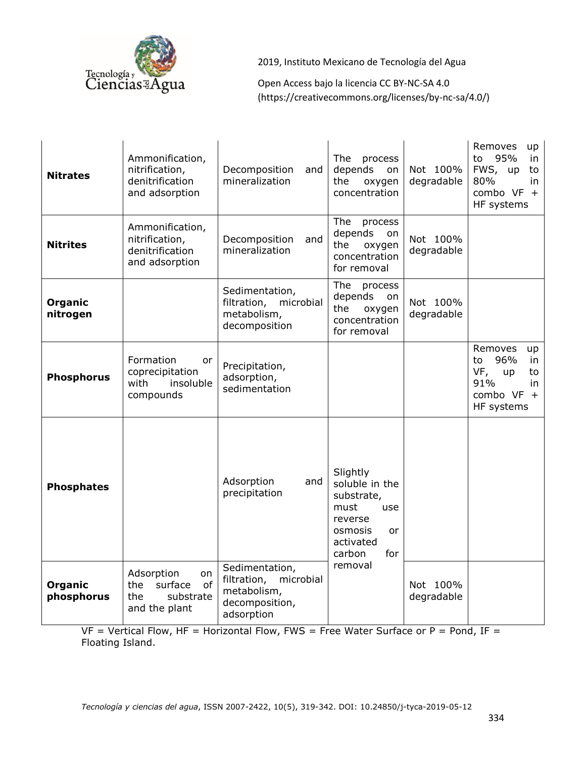

Open Access bajo la licencia CC BY-NC-SA 4.0 (https://creativecommons.org/licenses/by-nc-sa/4.0/)

| <b>Nitrates</b>       | Ammonification,<br>nitrification,<br>denitrification<br>and adsorption        | Decomposition<br>and<br>mineralization                                                    | The<br>process<br>depends<br>on<br>the<br>oxygen<br>concentration                                                 | Not 100%<br>degradable | Removes<br>up<br>95%<br>to<br>in<br>FWS, up<br>to<br>80%<br>in<br>combo $VF +$<br>HF systems   |
|-----------------------|-------------------------------------------------------------------------------|-------------------------------------------------------------------------------------------|-------------------------------------------------------------------------------------------------------------------|------------------------|------------------------------------------------------------------------------------------------|
| <b>Nitrites</b>       | Ammonification,<br>nitrification,<br>denitrification<br>and adsorption        | Decomposition<br>and<br>mineralization                                                    | The<br>process<br>depends<br>on<br>the<br>oxygen<br>concentration<br>for removal                                  | Not 100%<br>degradable |                                                                                                |
| Organic<br>nitrogen   |                                                                               | Sedimentation,<br>filtration,<br>microbial<br>metabolism,<br>decomposition                | The<br>process<br>depends<br>on<br>the<br>oxygen<br>concentration<br>for removal                                  | Not 100%<br>degradable |                                                                                                |
| <b>Phosphorus</b>     | Formation<br>or<br>coprecipitation<br>with<br>insoluble<br>compounds          | Precipitation,<br>adsorption,<br>sedimentation                                            |                                                                                                                   |                        | Removes<br>up<br>96%<br>to<br>in<br>VF,<br>up<br>to<br>91%<br>in<br>combo $VF +$<br>HF systems |
| <b>Phosphates</b>     |                                                                               | Adsorption<br>and<br>precipitation                                                        | Slightly<br>soluble in the<br>substrate,<br>must<br>use<br>reverse<br>osmosis<br>or<br>activated<br>carbon<br>for |                        |                                                                                                |
| Organic<br>phosphorus | Adsorption<br>on<br>of<br>surface<br>the<br>the<br>substrate<br>and the plant | Sedimentation,<br>filtration,<br>microbial<br>metabolism,<br>decomposition,<br>adsorption | removal                                                                                                           | Not 100%<br>degradable |                                                                                                |

 $VF = Vertical Flow, HF = Horizontal Flow, FWS = Free Water Surface or P = Pond, IF =$ Floating Island.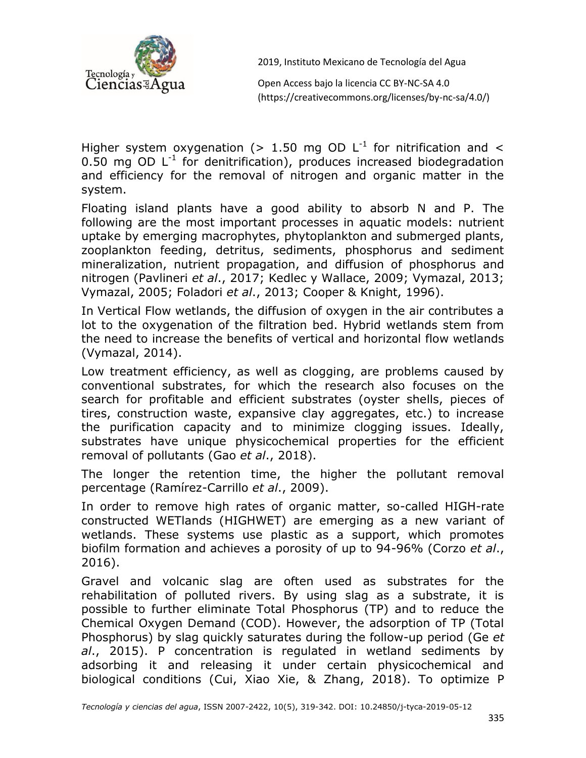

Open Access bajo la licencia CC BY-NC-SA 4.0 (https://creativecommons.org/licenses/by-nc-sa/4.0/)

Higher system oxygenation (> 1.50 mg OD  $L^{-1}$  for nitrification and < 0.50 mg OD  $L^{-1}$  for denitrification), produces increased biodegradation and efficiency for the removal of nitrogen and organic matter in the system.

Floating island plants have a good ability to absorb N and P. The following are the most important processes in aquatic models: nutrient uptake by emerging macrophytes, phytoplankton and submerged plants, zooplankton feeding, detritus, sediments, phosphorus and sediment mineralization, nutrient propagation, and diffusion of phosphorus and nitrogen (Pavlineri *et al*., 2017; Kedlec y Wallace, 2009; Vymazal, 2013; Vymazal, 2005; Foladori *et al*., 2013; Cooper & Knight, 1996).

In Vertical Flow wetlands, the diffusion of oxygen in the air contributes a lot to the oxygenation of the filtration bed. Hybrid wetlands stem from the need to increase the benefits of vertical and horizontal flow wetlands (Vymazal, 2014).

Low treatment efficiency, as well as clogging, are problems caused by conventional substrates, for which the research also focuses on the search for profitable and efficient substrates (oyster shells, pieces of tires, construction waste, expansive clay aggregates, etc.) to increase the purification capacity and to minimize clogging issues. Ideally, substrates have unique physicochemical properties for the efficient removal of pollutants (Gao *et al*., 2018).

The longer the retention time, the higher the pollutant removal percentage (Ramírez-Carrillo *et al*., 2009).

In order to remove high rates of organic matter, so-called HIGH-rate constructed WETlands (HIGHWET) are emerging as a new variant of wetlands. These systems use plastic as a support, which promotes biofilm formation and achieves a porosity of up to 94-96% (Corzo *et al*., 2016).

Gravel and volcanic slag are often used as substrates for the rehabilitation of polluted rivers. By using slag as a substrate, it is possible to further eliminate Total Phosphorus (TP) and to reduce the Chemical Oxygen Demand (COD). However, the adsorption of TP (Total Phosphorus) by slag quickly saturates during the follow-up period (Ge *et al*., 2015). P concentration is regulated in wetland sediments by adsorbing it and releasing it under certain physicochemical and biological conditions (Cui, Xiao Xie, & Zhang, 2018). To optimize P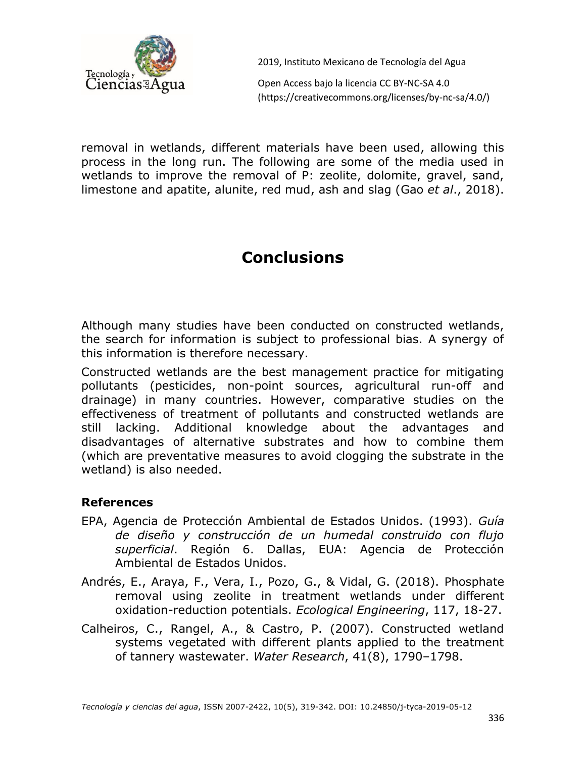

Open Access bajo la licencia CC BY-NC-SA 4.0 (https://creativecommons.org/licenses/by-nc-sa/4.0/)

removal in wetlands, different materials have been used, allowing this process in the long run. The following are some of the media used in wetlands to improve the removal of P: zeolite, dolomite, gravel, sand, limestone and apatite, alunite, red mud, ash and slag (Gao *et al*., 2018).

# **Conclusions**

Although many studies have been conducted on constructed wetlands, the search for information is subject to professional bias. A synergy of this information is therefore necessary.

Constructed wetlands are the best management practice for mitigating pollutants (pesticides, non-point sources, agricultural run-off and drainage) in many countries. However, comparative studies on the effectiveness of treatment of pollutants and constructed wetlands are still lacking. Additional knowledge about the advantages and disadvantages of alternative substrates and how to combine them (which are preventative measures to avoid clogging the substrate in the wetland) is also needed.

#### **References**

- EPA, Agencia de Protección Ambiental de Estados Unidos. (1993). *Guía de diseño y construcción de un humedal construido con flujo superficial*. Región 6. Dallas, EUA: Agencia de Protección Ambiental de Estados Unidos.
- Andrés, E., Araya, F., Vera, I., Pozo, G., & Vidal, G. (2018). Phosphate removal using zeolite in treatment wetlands under different oxidation-reduction potentials. *Ecological Engineering*, 117, 18-27.
- Calheiros, C., Rangel, A., & Castro, P. (2007). Constructed wetland systems vegetated with different plants applied to the treatment of tannery wastewater. *Water Research*, 41(8), 1790–1798.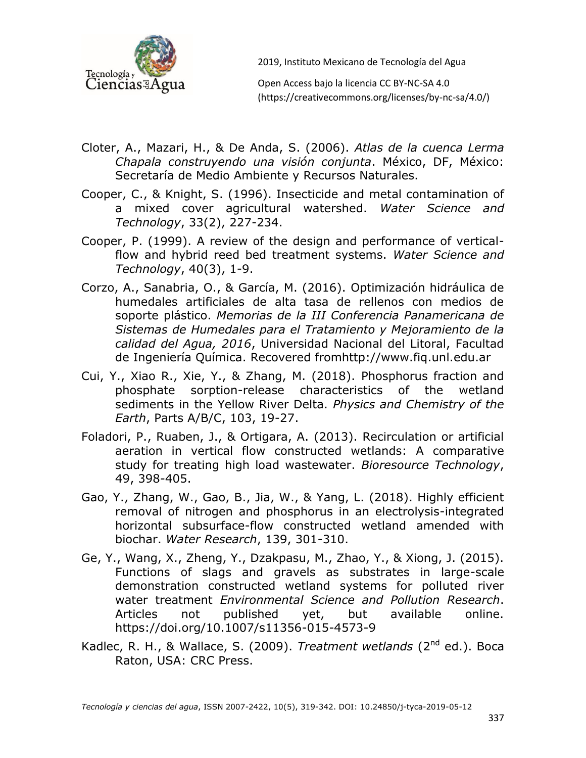

Open Access bajo la licencia CC BY-NC-SA 4.0 (https://creativecommons.org/licenses/by-nc-sa/4.0/)

- Cloter, A., Mazari, H., & De Anda, S. (2006). *Atlas de la cuenca Lerma Chapala construyendo una visión conjunta*. México, DF, México: Secretaría de Medio Ambiente y Recursos Naturales.
- Cooper, C., & Knight, S. (1996). Insecticide and metal contamination of a mixed cover agricultural watershed. *Water Science and Technology*, 33(2), 227-234.
- Cooper, P. (1999). A review of the design and performance of verticalflow and hybrid reed bed treatment systems. *Water Science and Technology*, 40(3), 1-9.
- Corzo, A., Sanabria, O., & García, M. (2016). Optimización hidráulica de humedales artificiales de alta tasa de rellenos con medios de soporte plástico. *Memorias de la III Conferencia Panamericana de Sistemas de Humedales para el Tratamiento y Mejoramiento de la calidad del Agua, 2016*, Universidad Nacional del Litoral, Facultad de Ingeniería Química. Recovered fromhttp://www.fiq.unl.edu.ar
- Cui, Y., Xiao R., Xie, Y., & Zhang, M. (2018). Phosphorus fraction and phosphate sorption-release characteristics of the wetland sediments in the Yellow River Delta. *Physics and Chemistry of the Earth*, Parts A/B/C, 103, 19-27.
- Foladori, P., Ruaben, J., & Ortigara, A. (2013). Recirculation or artificial aeration in vertical flow constructed wetlands: A comparative study for treating high load wastewater. *Bioresource Technology*, 49, 398-405.
- Gao, Y., Zhang, W., Gao, B., Jia, W., & Yang, L. (2018). Highly efficient removal of nitrogen and phosphorus in an electrolysis-integrated horizontal subsurface-flow constructed wetland amended with biochar. *Water Research*, 139, 301-310.
- Ge, Y., Wang, X., Zheng, Y., Dzakpasu, M., Zhao, Y., & Xiong, J. (2015). Functions of slags and gravels as substrates in large-scale demonstration constructed wetland systems for polluted river water treatment *Environmental Science and Pollution Research*. Articles not published yet, but available online. https://doi.org/10.1007/s11356-015-4573-9
- Kadlec, R. H., & Wallace, S. (2009). *Treatment wetlands* (2<sup>nd</sup> ed.). Boca Raton, USA: CRC Press.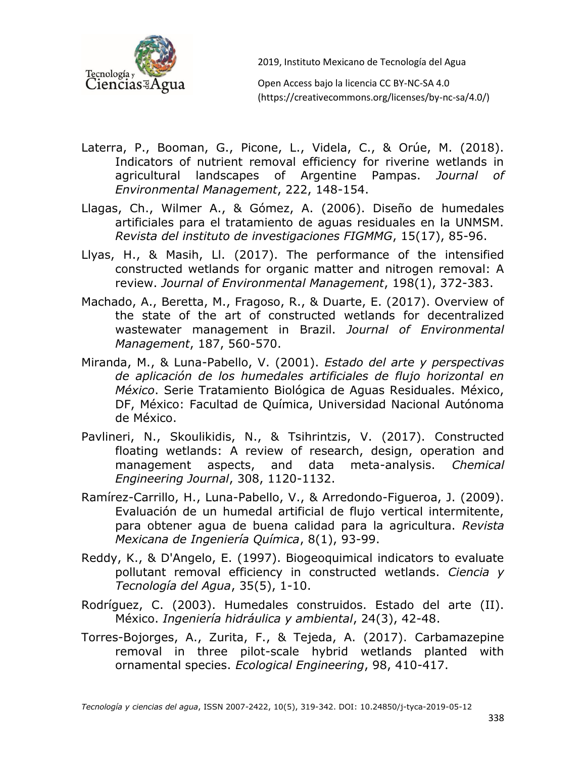

Open Access bajo la licencia CC BY-NC-SA 4.0 (https://creativecommons.org/licenses/by-nc-sa/4.0/)

- Laterra, P., Booman, G., Picone, L., Videla, C., & Orúe, M. (2018). Indicators of nutrient removal efficiency for riverine wetlands in agricultural landscapes of Argentine Pampas. *Journal of Environmental Management*, 222, 148-154.
- Llagas, Ch., Wilmer A., & Gómez, A. (2006). Diseño de humedales artificiales para el tratamiento de aguas residuales en la UNMSM. *Revista del instituto de investigaciones FIGMMG*, 15(17), 85-96.
- Llyas, H., & Masih, Ll. (2017). The performance of the intensified constructed wetlands for organic matter and nitrogen removal: A review. *Journal of Environmental Management*, 198(1), 372-383.
- Machado, A., Beretta, M., Fragoso, R., & Duarte, E. (2017). Overview of the state of the art of constructed wetlands for decentralized wastewater management in Brazil. *Journal of Environmental Management*, 187, 560-570.
- Miranda, M., & Luna-Pabello, V. (2001). *Estado del arte y perspectivas de aplicación de los humedales artificiales de flujo horizontal en México*. Serie Tratamiento Biológica de Aguas Residuales. México, DF, México: Facultad de Química, Universidad Nacional Autónoma de México.
- Pavlineri, N., Skoulikidis, N., & Tsihrintzis, V. (2017). Constructed floating wetlands: A review of research, design, operation and management aspects, and data meta-analysis. *Chemical Engineering Journal*, 308, 1120-1132.
- Ramírez-Carrillo, H., Luna-Pabello, V., & Arredondo-Figueroa, J. (2009). Evaluación de un humedal artificial de flujo vertical intermitente, para obtener agua de buena calidad para la agricultura. *Revista Mexicana de Ingeniería Química*, 8(1), 93-99.
- Reddy, K., & D'Angelo, E. (1997). Biogeoquimical indicators to evaluate pollutant removal efficiency in constructed wetlands. *Ciencia y Tecnología del Agua*, 35(5), 1-10.
- Rodríguez, C. (2003). Humedales construidos. Estado del arte (II). México. *Ingeniería hidráulica y ambiental*, 24(3), 42-48.
- Torres-Bojorges, A., Zurita, F., & Tejeda, A. (2017). Carbamazepine removal in three pilot-scale hybrid wetlands planted with ornamental species. *Ecological Engineering*, 98, 410-417.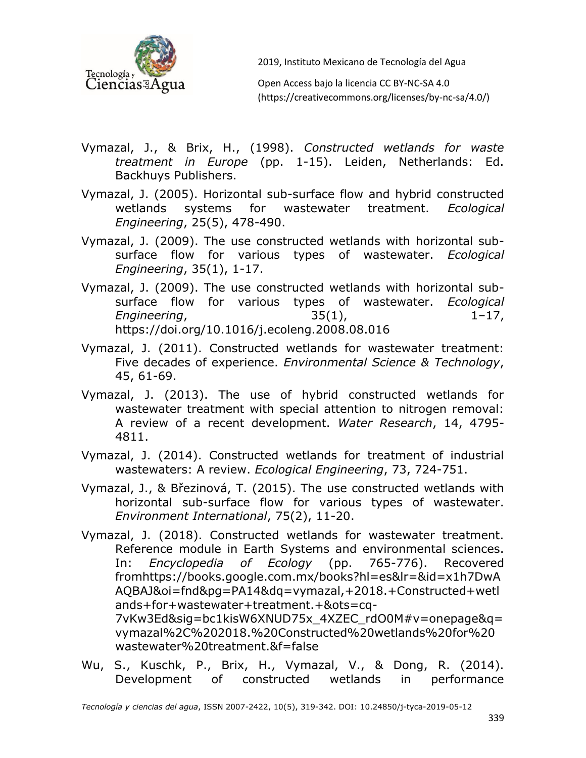

Open Access bajo la licencia CC BY-NC-SA 4.0 (https://creativecommons.org/licenses/by-nc-sa/4.0/)

- Vymazal, J., & Brix, H., (1998). *Constructed wetlands for waste treatment in Europe* (pp. 1-15). Leiden, Netherlands: Ed. Backhuys Publishers.
- Vymazal, J. (2005). Horizontal sub-surface flow and hybrid constructed wetlands systems for wastewater treatment. *Ecological Engineering*, 25(5), 478-490.
- Vymazal, J. (2009). The use constructed wetlands with horizontal subsurface flow for various types of wastewater. *Ecological Engineering*, 35(1), 1-17.
- Vymazal, J. (2009). The use constructed wetlands with horizontal subsurface flow for various types of wastewater. *Ecological Engineering*, 35(1), 1–17, https://doi.org/10.1016/j.ecoleng.2008.08.016
- Vymazal, J. (2011). Constructed wetlands for wastewater treatment: Five decades of experience. *Environmental Science & Technology*, 45, 61-69.
- Vymazal, J. (2013). The use of hybrid constructed wetlands for wastewater treatment with special attention to nitrogen removal: A review of a recent development. *Water Research*, 14, 4795- 4811.
- Vymazal, J. (2014). Constructed wetlands for treatment of industrial wastewaters: A review. *Ecological Engineering*, 73, 724-751.
- Vymazal, J., & Březinová, T. (2015). The use constructed wetlands with horizontal sub-surface flow for various types of wastewater. *Environment International*, 75(2), 11-20.
- Vymazal, J. (2018). Constructed wetlands for wastewater treatment. Reference module in Earth Systems and environmental sciences. In: *Encyclopedia of Ecology* (pp. 765-776). Recovered fromhttps://books.google.com.mx/books?hl=es&lr=&id=x1h7DwA AQBAJ&oi=fnd&pg=PA14&dq=vymazal,+2018.+Constructed+wetl ands+for+wastewater+treatment.+&ots=cq-7vKw3Ed&sig=bc1kisW6XNUD75x\_4XZEC\_rdO0M#v=onepage&q= vymazal%2C%202018.%20Constructed%20wetlands%20for%20 wastewater%20treatment.&f=false
- Wu, S., Kuschk, P., Brix, H., Vymazal, V., & Dong, R. (2014). Development of constructed wetlands in performance